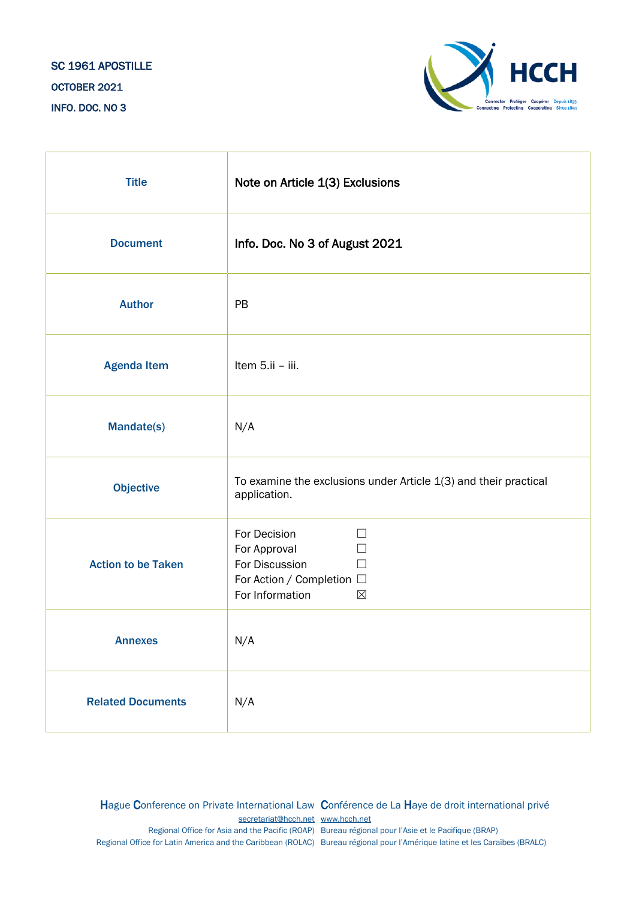## SC 1961 APOSTILLE OCTOBER 2021 INFO. DOC. NO 3



| <b>Title</b>              | Note on Article 1(3) Exclusions                                                                                                        |
|---------------------------|----------------------------------------------------------------------------------------------------------------------------------------|
| <b>Document</b>           | Info. Doc. No 3 of August 2021                                                                                                         |
| <b>Author</b>             | PB                                                                                                                                     |
| <b>Agenda Item</b>        | Item 5.ii - iii.                                                                                                                       |
| <b>Mandate(s)</b>         | N/A                                                                                                                                    |
| <b>Objective</b>          | To examine the exclusions under Article $1(3)$ and their practical<br>application.                                                     |
| <b>Action to be Taken</b> | For Decision<br>П<br>For Approval<br>$\Box$<br>For Discussion<br>$\Box$<br>For Action / Completion □<br>For Information<br>$\boxtimes$ |
| <b>Annexes</b>            | N/A                                                                                                                                    |
| <b>Related Documents</b>  | N/A                                                                                                                                    |

Hague Conference on Private International Law Conférence de La Haye de droit international privé [secretariat@hcch.net](mailto:secretariat@hcch.net) [www.hcch.net](http://www.hcch.net/) Regional Office for Asia and the Pacific (ROAP) Bureau régional pour l'Asie et le Pacifique (BRAP) Regional Office for Latin America and the Caribbean (ROLAC) Bureau régional pour l'Amérique latine et les Caraïbes (BRALC)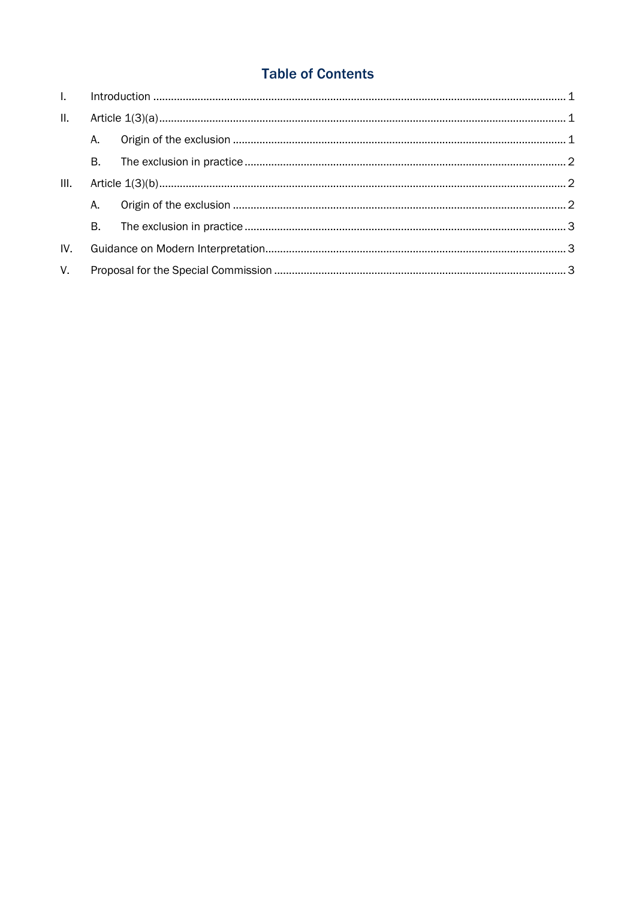# **Table of Contents**

| $\mathbf{L}$ |    |  |  |
|--------------|----|--|--|
| II.          |    |  |  |
|              | A. |  |  |
|              | B. |  |  |
| III.         |    |  |  |
|              | A. |  |  |
|              | B. |  |  |
| IV.          |    |  |  |
| $V_{\cdot}$  |    |  |  |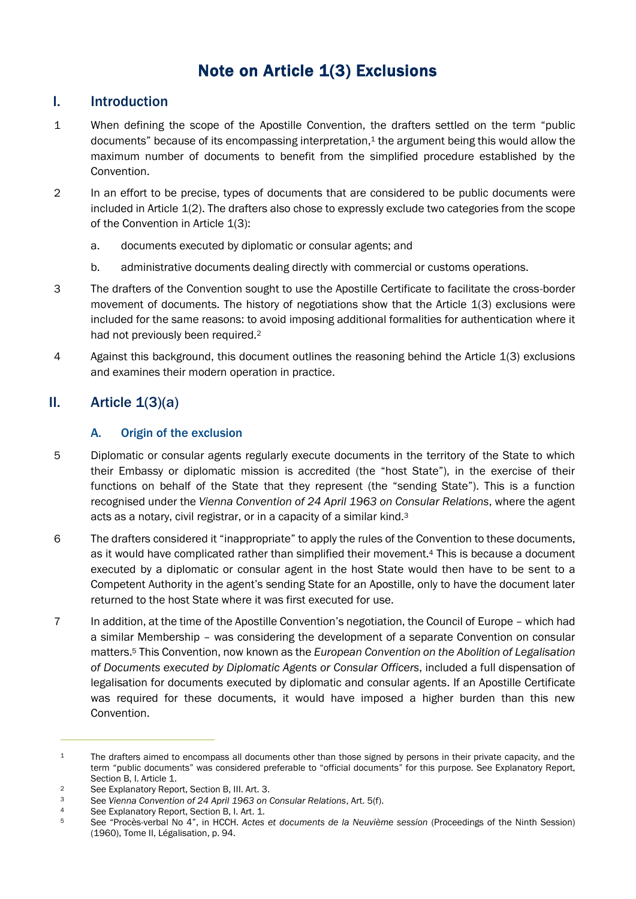# Note on Article 1(3) Exclusions

#### <span id="page-2-0"></span>I. Introduction

- 1 When defining the scope of the Apostille Convention, the drafters settled on the term "public documents" because of its encompassing interpretation, <sup>1</sup> the argument being this would allow the maximum number of documents to benefit from the simplified procedure established by the Convention.
- 2 In an effort to be precise, types of documents that are considered to be public documents were included in Article 1(2). The drafters also chose to expressly exclude two categories from the scope of the Convention in Article 1(3):
	- a. documents executed by diplomatic or consular agents; and
	- b. administrative documents dealing directly with commercial or customs operations.
- 3 The drafters of the Convention sought to use the Apostille Certificate to facilitate the cross-border movement of documents. The history of negotiations show that the Article 1(3) exclusions were included for the same reasons: to avoid imposing additional formalities for authentication where it had not previously been required.<sup>2</sup>
- 4 Against this background, this document outlines the reasoning behind the Article 1(3) exclusions and examines their modern operation in practice.

## <span id="page-2-2"></span><span id="page-2-1"></span>II. Article  $\mathbf{1}(3)(a)$

#### A. Origin of the exclusion

- 5 Diplomatic or consular agents regularly execute documents in the territory of the State to which their Embassy or diplomatic mission is accredited (the "host State"), in the exercise of their functions on behalf of the State that they represent (the "sending State"). This is a function recognised under the *Vienna Convention of 24 April 1963 on Consular Relations*, where the agent acts as a notary, civil registrar, or in a capacity of a similar kind.<sup>3</sup>
- 6 The drafters considered it "inappropriate" to apply the rules of the Convention to these documents, as it would have complicated rather than simplified their movement.<sup>4</sup> This is because a document executed by a diplomatic or consular agent in the host State would then have to be sent to a Competent Authority in the agent's sending State for an Apostille, only to have the document later returned to the host State where it was first executed for use.
- 7 In addition, at the time of the Apostille Convention's negotiation, the Council of Europe which had a similar Membership – was considering the development of a separate Convention on consular matters. <sup>5</sup> This Convention, now known as the *European Convention on the Abolition of Legalisation of Documents executed by Diplomatic Agents or Consular Officers*, included a full dispensation of legalisation for documents executed by diplomatic and consular agents. If an Apostille Certificate was required for these documents, it would have imposed a higher burden than this new Convention.

<sup>&</sup>lt;sup>1</sup> The drafters aimed to encompass all documents other than those signed by persons in their private capacity, and the term "public documents" was considered preferable to "official documents" for this purpose. See Explanatory Report, Section B, I. Article 1.

<sup>2</sup> See Explanatory Report, Section B, III. Art. 3.<br>See Vienna Convention of 24 April 1963 on

<sup>3</sup> See *Vienna Convention of 24 April 1963 on Consular Relations*, Art. 5(f).

<sup>4</sup> See Explanatory Report, Section B, I. Art. 1.<br>5 See "Proces-verbal No. 4" in HCCH Actes

<sup>5</sup> See "Procès-verbal No 4", in HCCH. *Actes et documents de la Neuvième session* (Proceedings of the Ninth Session) (1960), Tome II, Légalisation, p. 94.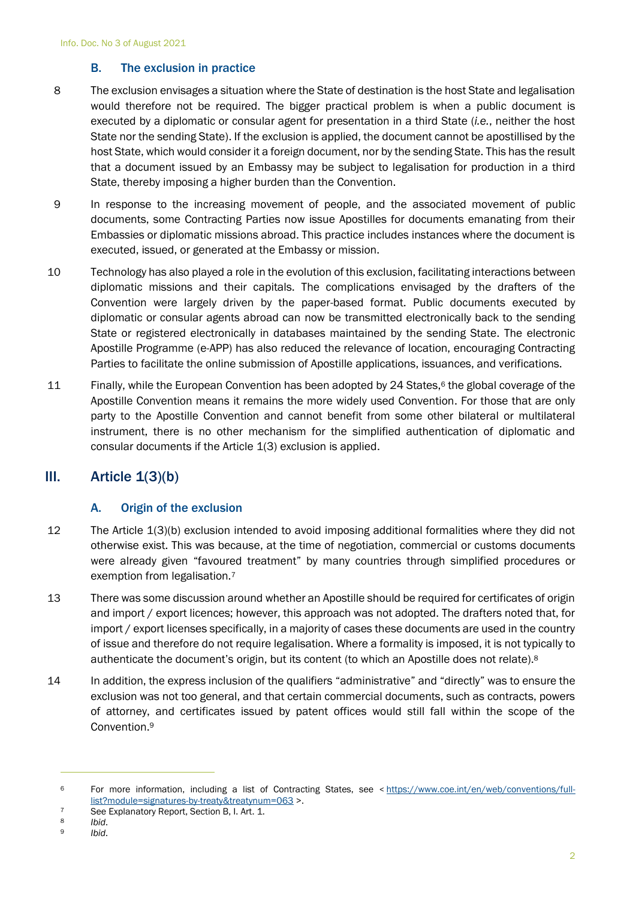#### B. The exclusion in practice

- <span id="page-3-0"></span>8 The exclusion envisages a situation where the State of destination is the host State and legalisation would therefore not be required. The bigger practical problem is when a public document is executed by a diplomatic or consular agent for presentation in a third State (*i.e.*, neither the host State nor the sending State). If the exclusion is applied, the document cannot be apostillised by the host State, which would consider it a foreign document, nor by the sending State. This has the result that a document issued by an Embassy may be subject to legalisation for production in a third State, thereby imposing a higher burden than the Convention.
- 9 In response to the increasing movement of people, and the associated movement of public documents, some Contracting Parties now issue Apostilles for documents emanating from their Embassies or diplomatic missions abroad. This practice includes instances where the document is executed, issued, or generated at the Embassy or mission.
- 10 Technology has also played a role in the evolution of this exclusion, facilitating interactions between diplomatic missions and their capitals. The complications envisaged by the drafters of the Convention were largely driven by the paper-based format. Public documents executed by diplomatic or consular agents abroad can now be transmitted electronically back to the sending State or registered electronically in databases maintained by the sending State. The electronic Apostille Programme (e-APP) has also reduced the relevance of location, encouraging Contracting Parties to facilitate the online submission of Apostille applications, issuances, and verifications.
- 11 Finally, while the European Convention has been adopted by 24 States,<sup>6</sup> the global coverage of the Apostille Convention means it remains the more widely used Convention. For those that are only party to the Apostille Convention and cannot benefit from some other bilateral or multilateral instrument, there is no other mechanism for the simplified authentication of diplomatic and consular documents if the Article 1(3) exclusion is applied.

## <span id="page-3-2"></span><span id="page-3-1"></span>III. Article  $\mathbf{1}(3)(b)$

#### A. Origin of the exclusion

- 12 The Article 1(3)(b) exclusion intended to avoid imposing additional formalities where they did not otherwise exist. This was because, at the time of negotiation, commercial or customs documents were already given "favoured treatment" by many countries through simplified procedures or exemption from legalisation.<sup>7</sup>
- 13 There was some discussion around whether an Apostille should be required for certificates of origin and import / export licences; however, this approach was not adopted. The drafters noted that, for import / export licenses specifically, in a majority of cases these documents are used in the country of issue and therefore do not require legalisation. Where a formality is imposed, it is not typically to authenticate the document's origin, but its content (to which an Apostille does not relate).<sup>8</sup>
- 14 In addition, the express inclusion of the qualifiers "administrative" and "directly" was to ensure the exclusion was not too general, and that certain commercial documents, such as contracts, powers of attorney, and certificates issued by patent offices would still fall within the scope of the Convention.<sup>9</sup>

<sup>6</sup> For more information, including a list of Contracting States, see < [https://www.coe.int/en/web/conventions/full](https://www.coe.int/en/web/conventions/full-list?module=signatures-by-treaty&treatynum=063)[list?module=signatures-by-treaty&treatynum=063](https://www.coe.int/en/web/conventions/full-list?module=signatures-by-treaty&treatynum=063) >.

<sup>7</sup> See Explanatory Report, Section B, I. Art. 1.<br>8 *Ibid.* 

<sup>8</sup> *Ibid*.

<sup>9</sup> *Ibid*.